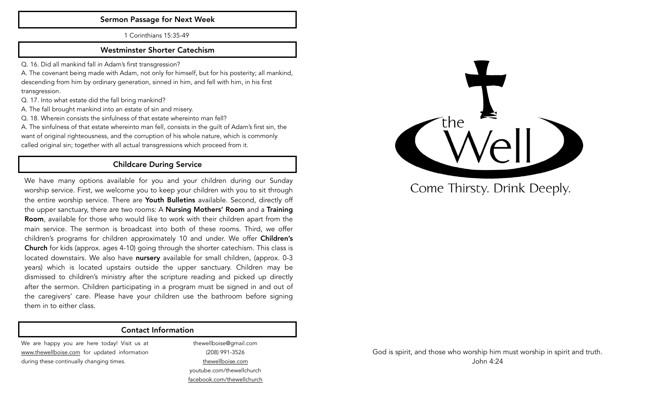#### Sermon Passage for Next Week

1 Corinthians 15:35-49

#### Westminster Shorter Catechism

Q. 16. Did all mankind fall in Adam's first transgression?

A. The covenant being made with Adam, not only for himself, but for his posterity; all mankind, descending from him by ordinary generation, sinned in him, and fell with him, in his first transgression.

Q. 17. Into what estate did the fall bring mankind?

A. The fall brought mankind into an estate of sin and misery.

Q. 18. Wherein consists the sinfulness of that estate whereinto man fell?

A. The sinfulness of that estate whereinto man fell, consists in the guilt of Adam's first sin, the want of original righteousness, and the corruption of his whole nature, which is commonly called original sin; together with all actual transgressions which proceed from it.

#### Childcare During Service

We have many options available for you and your children during our Sunday worship service. First, we welcome you to keep your children with you to sit through the entire worship service. There are Youth Bulletins available. Second, directly off the upper sanctuary, there are two rooms: A **Nursing Mothers' Room** and a Training Room, available for those who would like to work with their children apart from the main service. The sermon is broadcast into both of these rooms. Third, we offer children's programs for children approximately 10 and under. We offer **Children's** Church for kids (approx. ages 4-10) going through the shorter catechism. This class is located downstairs. We also have nursery available for small children, (approx. 0-3 years) which is located upstairs outside the upper sanctuary. Children may be dismissed to children's ministry after the scripture reading and picked up directly after the sermon. Children participating in a program must be signed in and out of the caregivers' care. Please have your children use the bathroom before signing them in to either class.

#### Contact Information

We are happy you are here today! Visit us at [www.thewellboise.com](http://www.thewellboise.com) for updated information during these continually changing times.

thewellboise@gmail.com (208) 991-3526 [thewellboise.com](http://thewellboise.com) youtube.com/thewellchurch [facebook.com/thewellchurch](http://facebook.com/thewellchurch)



Come Thirsty. Drink Deeply.

God is spirit, and those who worship him must worship in spirit and truth. John 4:24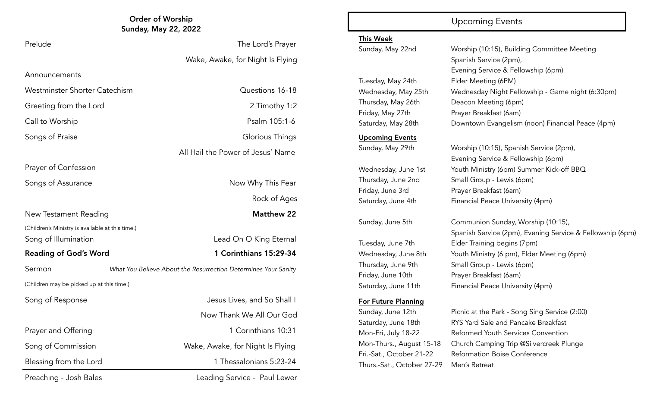# Order of Worship Upcoming Events Sunday, May 22, 2022

## Prelude The Lord's Prayer

Wake, Awake, for Night Is Flying

All Hail the Power of Jesus' Name

Rock of Ages

Westminster Shorter Catechism **Questions 16-18** 

Greeting from the Lord 2 Timothy 1:2

Call to Worship **Psalm 105:1-6** 

Announcements

Songs of Praise Glorious Things

Prayer of Confession

Songs of Assurance Now Why This Fear

New Testament Reading Matthew 22

(Children's Ministry is available at this time.)

Song of Illumination **Lead On O King Eternal** 

#### Reading of God's Word 1 Corinthians 15:29-34

Sermon *What You Believe About the Resurrection Determines Your Sanity*

(Children may be picked up at this time.)

Preaching - Josh Bales **Leading Service - Paul Lewer** 

Song of Response Jesus Lives, and So Shall I Now Thank We All Our God Prayer and Offering 10:31 Song of Commission **Wake, Awake, for Night Is Flying** Blessing from the Lord 1 Thessalonians 5:23-24

#### This Week

Tuesday, May 24th Elder Meeting (6PM) Friday, May 27th Prayer Breakfast (6am)

#### Upcoming Events

For Future Planning

Thurs.-Sat., October 27-29 Men's Retreat

Sunday, May 22nd Worship (10:15), Building Committee Meeting Spanish Service (2pm), Evening Service & Fellowship (6pm) Wednesday, May 25th Wednesday Night Fellowship - Game night (6:30pm) Thursday, May 26th Deacon Meeting (6pm) Saturday, May 28th Downtown Evangelism (noon) Financial Peace (4pm)

Sunday, May 29th Worship (10:15), Spanish Service (2pm), Evening Service & Fellowship (6pm) Wednesday, June 1st Youth Ministry (6pm) Summer Kick-off BBQ Thursday, June 2nd Small Group - Lewis (6pm) Friday, June 3rd Prayer Breakfast (6am) Saturday, June 4th Financial Peace University (4pm)

Sunday, June 5th Communion Sunday, Worship (10:15), Spanish Service (2pm), Evening Service & Fellowship (6pm) Tuesday, June 7th Elder Training begins (7pm) Wednesday, June 8th Youth Ministry (6 pm), Elder Meeting (6pm) Thursday, June 9th Small Group - Lewis (6pm) Friday, June 10th Prayer Breakfast (6am) Saturday, June 11th Financial Peace University (4pm)

Sunday, June 12th Picnic at the Park - Song Sing Service (2:00) Saturday, June 18th RYS Yard Sale and Pancake Breakfast Mon-Fri, July 18-22 Reformed Youth Services Convention Mon-Thurs., August 15-18 Church Camping Trip @Silvercreek Plunge Fri.-Sat., October 21-22 Reformation Boise Conference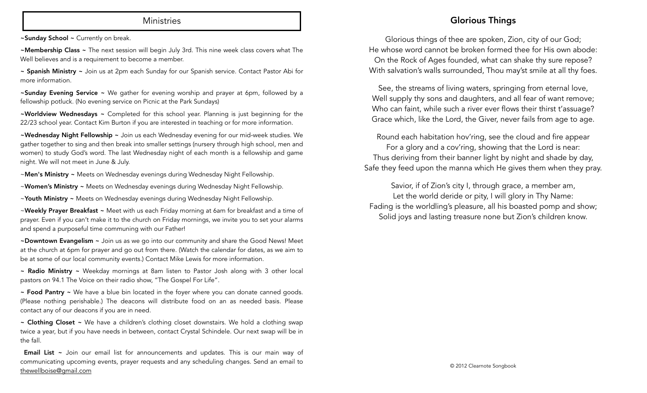#### **Ministries**

~Sunday School ~ Currently on break.

~Membership Class ~ The next session will begin July 3rd. This nine week class covers what The Well believes and is a requirement to become a member.

~ Spanish Ministry ~ Join us at 2pm each Sunday for our Spanish service. Contact Pastor Abi for more information.

~Sunday Evening Service ~ We gather for evening worship and prayer at 6pm, followed by a fellowship potluck. (No evening service on Picnic at the Park Sundays)

~Worldview Wednesdays ~ Completed for this school year. Planning is just beginning for the 22/23 school year. Contact Kim Burton if you are interested in teaching or for more information.

~Wednesday Night Fellowship ~ Join us each Wednesday evening for our mid-week studies. We gather together to sing and then break into smaller settings (nursery through high school, men and women) to study God's word. The last Wednesday night of each month is a fellowship and game night. We will not meet in June & July.

~Men's Ministry ~ Meets on Wednesday evenings during Wednesday Night Fellowship.

~Women's Ministry ~ Meets on Wednesday evenings during Wednesday Night Fellowship.

~Youth Ministry ~ Meets on Wednesday evenings during Wednesday Night Fellowship.

~Weekly Prayer Breakfast ~ Meet with us each Friday morning at 6am for breakfast and a time of prayer. Even if you can't make it to the church on Friday mornings, we invite you to set your alarms and spend a purposeful time communing with our Father!

~Downtown Evangelism ~ Join us as we go into our community and share the Good News! Meet at the church at 6pm for prayer and go out from there. (Watch the calendar for dates, as we aim to be at some of our local community events.) Contact Mike Lewis for more information.

~ Radio Ministry ~ Weekday mornings at 8am listen to Pastor Josh along with 3 other local pastors on 94.1 The Voice on their radio show, "The Gospel For Life".

~ Food Pantry ~ We have a blue bin located in the foyer where you can donate canned goods. (Please nothing perishable.) The deacons will distribute food on an as needed basis. Please contact any of our deacons if you are in need.

 $\sim$  Clothing Closet  $\sim$  We have a children's clothing closet downstairs. We hold a clothing swap twice a year, but if you have needs in between, contact Crystal Schindele. Our next swap will be in the fall.

Email List ~ Join our email list for announcements and updates. This is our main way of communicating upcoming events, prayer requests and any scheduling changes. Send an email to [thewellboise@gmail.com](mailto:thewellboise@gmail.com)

#### Glorious Things

Glorious things of thee are spoken, Zion, city of our God; He whose word cannot be broken formed thee for His own abode: On the Rock of Ages founded, what can shake thy sure repose? With salvation's walls surrounded, Thou may'st smile at all thy foes.

See, the streams of living waters, springing from eternal love, Well supply thy sons and daughters, and all fear of want remove; Who can faint, while such a river ever flows their thirst t'assuage? Grace which, like the Lord, the Giver, never fails from age to age.

Round each habitation hov'ring, see the cloud and fire appear For a glory and a cov'ring, showing that the Lord is near: Thus deriving from their banner light by night and shade by day, Safe they feed upon the manna which He gives them when they pray.

Savior, if of Zion's city I, through grace, a member am, Let the world deride or pity, I will glory in Thy Name: Fading is the worldling's pleasure, all his boasted pomp and show; Solid joys and lasting treasure none but Zion's children know.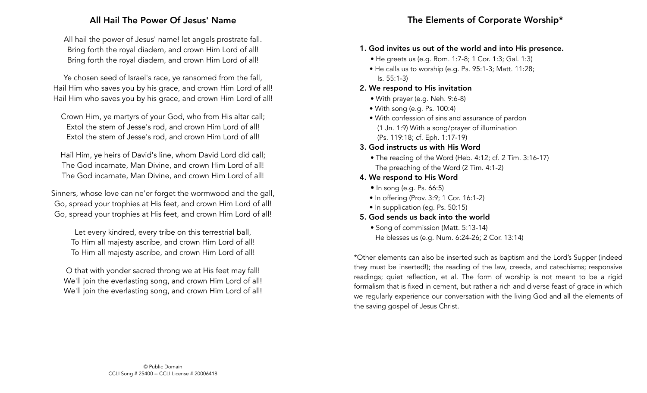#### All Hail The Power Of Jesus' Name

All hail the power of Jesus' name! let angels prostrate fall. Bring forth the royal diadem, and crown Him Lord of all! Bring forth the royal diadem, and crown Him Lord of all!

Ye chosen seed of Israel's race, ye ransomed from the fall, Hail Him who saves you by his grace, and crown Him Lord of all! Hail Him who saves you by his grace, and crown Him Lord of all!

Crown Him, ye martyrs of your God, who from His altar call; Extol the stem of Jesse's rod, and crown Him Lord of all! Extol the stem of Jesse's rod, and crown Him Lord of all!

Hail Him, ye heirs of David's line, whom David Lord did call; The God incarnate, Man Divine, and crown Him Lord of all! The God incarnate, Man Divine, and crown Him Lord of all!

Sinners, whose love can ne'er forget the wormwood and the gall, Go, spread your trophies at His feet, and crown Him Lord of all! Go, spread your trophies at His feet, and crown Him Lord of all!

Let every kindred, every tribe on this terrestrial ball, To Him all majesty ascribe, and crown Him Lord of all! To Him all majesty ascribe, and crown Him Lord of all!

O that with yonder sacred throng we at His feet may fall! We'll join the everlasting song, and crown Him Lord of all! We'll join the everlasting song, and crown Him Lord of all!

#### 1. God invites us out of the world and into His presence.

- He greets us (e.g. Rom. 1:7-8; 1 Cor. 1:3; Gal. 1:3)
- He calls us to worship (e.g. Ps. 95:1-3; Matt. 11:28; Is. 55:1-3)
- 2. We respond to His invitation
	- With prayer (e.g. Neh. 9:6-8)
	- With song (e.g. Ps. 100:4)
	- With confession of sins and assurance of pardon (1 Jn. 1:9) With a song/prayer of illumination (Ps. 119:18; cf. Eph. 1:17-19)
- 3. God instructs us with His Word
	- The reading of the Word (Heb. 4:12; cf. 2 Tim. 3:16-17) The preaching of the Word (2 Tim. 4:1-2)
- 4. We respond to His Word
	- In song (e.g. Ps. 66:5)
	- In offering (Prov. 3:9; 1 Cor. 16:1-2)
	- In supplication (eq. Ps. 50:15)
- 5. God sends us back into the world
	- Song of commission (Matt. 5:13-14) He blesses us (e.g. Num. 6:24-26; 2 Cor. 13:14)

\*Other elements can also be inserted such as baptism and the Lord's Supper (indeed they must be inserted!); the reading of the law, creeds, and catechisms; responsive readings; quiet reflection, et al. The form of worship is not meant to be a rigid formalism that is fixed in cement, but rather a rich and diverse feast of grace in which we regularly experience our conversation with the living God and all the elements of the saving gospel of Jesus Christ.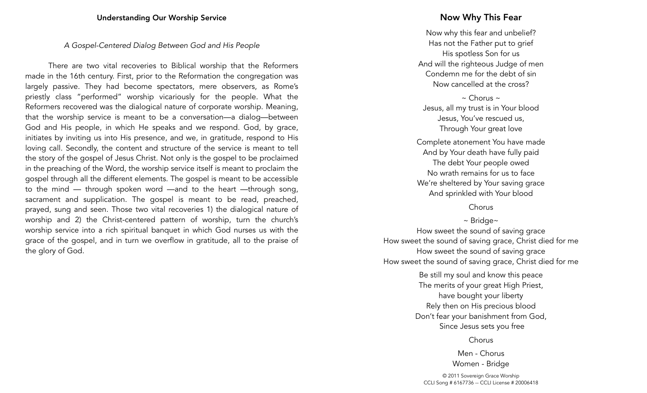#### *A Gospel-Centered Dialog Between God and His People*

There are two vital recoveries to Biblical worship that the Reformers made in the 16th century. First, prior to the Reformation the congregation was largely passive. They had become spectators, mere observers, as Rome's priestly class "performed" worship vicariously for the people. What the Reformers recovered was the dialogical nature of corporate worship. Meaning, that the worship service is meant to be a conversation—a dialog—between God and His people, in which He speaks and we respond. God, by grace, initiates by inviting us into His presence, and we, in gratitude, respond to His loving call. Secondly, the content and structure of the service is meant to tell the story of the gospel of Jesus Christ. Not only is the gospel to be proclaimed in the preaching of the Word, the worship service itself is meant to proclaim the gospel through all the different elements. The gospel is meant to be accessible to the mind — through spoken word —and to the heart —through song, sacrament and supplication. The gospel is meant to be read, preached, prayed, sung and seen. Those two vital recoveries 1) the dialogical nature of worship and 2) the Christ-centered pattern of worship, turn the church's worship service into a rich spiritual banquet in which God nurses us with the grace of the gospel, and in turn we overflow in gratitude, all to the praise of the glory of God.

#### Now Why This Fear

Now why this fear and unbelief? Has not the Father put to grief His spotless Son for us And will the righteous Judge of men Condemn me for the debt of sin Now cancelled at the cross?

 $\sim$  Chorus  $\sim$ Jesus, all my trust is in Your blood Jesus, You've rescued us, Through Your great love

Complete atonement You have made And by Your death have fully paid The debt Your people owed No wrath remains for us to face We're sheltered by Your saving grace And sprinkled with Your blood

Chorus

~ Bridge~

How sweet the sound of saving grace How sweet the sound of saving grace, Christ died for me How sweet the sound of saving grace How sweet the sound of saving grace, Christ died for me

> Be still my soul and know this peace The merits of your great High Priest, have bought your liberty Rely then on His precious blood Don't fear your banishment from God, Since Jesus sets you free

> > Chorus

Men - Chorus Women - Bridge

© 2011 Sovereign Grace Worship CCLI Song # 6167736 -- CCLI License # 20006418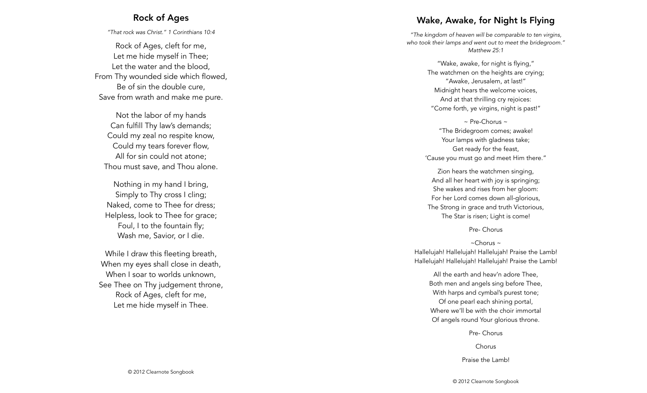#### Rock of Ages

*"That rock was Christ." 1 Corinthians 10:4*

Rock of Ages, cleft for me, Let me hide myself in Thee; Let the water and the blood, From Thy wounded side which flowed, Be of sin the double cure, Save from wrath and make me pure.

Not the labor of my hands Can fulfill Thy law's demands; Could my zeal no respite know, Could my tears forever flow, All for sin could not atone; Thou must save, and Thou alone.

Nothing in my hand I bring, Simply to Thy cross I cling; Naked, come to Thee for dress; Helpless, look to Thee for grace; Foul, I to the fountain fly; Wash me, Savior, or I die.

While I draw this fleeting breath, When my eyes shall close in death, When I soar to worlds unknown. See Thee on Thy judgement throne, Rock of Ages, cleft for me, Let me hide myself in Thee .

### Wake, Awake, for Night Is Flying

*"The kingdom of heaven will be comparable to ten virgins, who took their lamps and went out to meet the bridegroom." Matthew 25:1* 

> "Wake, awake, for night is flying," The watchmen on the heights are crying; "Awake, Jerusalem, at last!" Midnight hears the welcome voices, And at that thrilling cry rejoices: "Come forth, ye virgins, night is past!"

 $\sim$  Pre-Chorus  $\sim$ "The Bridegroom comes; awake! Your lamps with gladness take; Get ready for the feast, 'Cause you must go and meet Him there."

Zion hears the watchmen singing, And all her heart with joy is springing; She wakes and rises from her gloom: For her Lord comes down all-glorious, The Strong in grace and truth Victorious, The Star is risen; Light is come!

Pre- Chorus

~Chorus ~ Hallelujah! Hallelujah! Hallelujah! Praise the Lamb! Hallelujah! Hallelujah! Hallelujah! Praise the Lamb!

> All the earth and heav'n adore Thee, Both men and angels sing before Thee, With harps and cymbal's purest tone; Of one pearl each shining portal, Where we'll be with the choir immortal Of angels round Your glorious throne.

> > Pre- Chorus

Chorus

Praise the Lamb!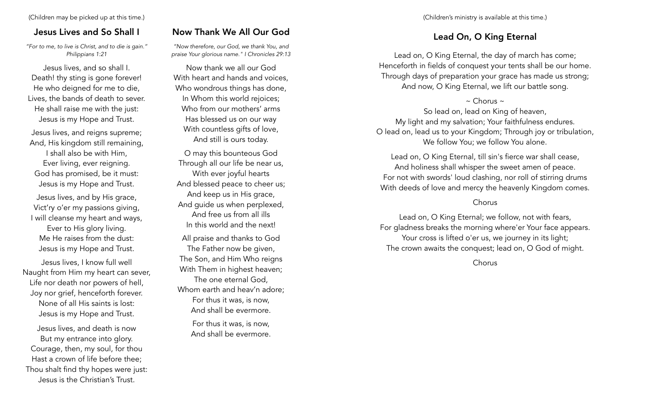### Jesus Lives and So Shall I

*"For to me, to live is Christ, and to die is gain." Philippians 1:21*

Jesus lives, and so shall I. Death! thy sting is gone forever! He who deigned for me to die, Lives, the bands of death to sever. He shall raise me with the just: Jesus is my Hope and Trust.

Jesus lives, and reigns supreme; And, His kingdom still remaining, I shall also be with Him, Ever living, ever reigning. God has promised, be it must: Jesus is my Hope and Trust.

Jesus lives, and by His grace, Vict'ry o'er my passions giving, I will cleanse my heart and ways, Ever to His glory living. Me He raises from the dust: Jesus is my Hope and Trust.

Jesus lives, I know full well Naught from Him my heart can sever, Life nor death nor powers of hell, Joy nor grief, henceforth forever. None of all His saints is lost: Jesus is my Hope and Trust.

Jesus lives, and death is now But my entrance into glory. Courage, then, my soul, for thou Hast a crown of life before thee; Thou shalt find thy hopes were just: Jesus is the Christian's Trust.

#### Now Thank We All Our God

*"Now therefore, our God, we thank You, and praise Your glorious name." I Chronicles 29:13*

Now thank we all our God With heart and hands and voices, Who wondrous things has done, In Whom this world rejoices; Who from our mothers' arms Has blessed us on our way With countless gifts of love, And still is ours today.

O may this bounteous God Through all our life be near us, With ever joyful hearts And blessed peace to cheer us; And keep us in His grace, And guide us when perplexed, And free us from all ills In this world and the next! All praise and thanks to God The Father now be given, The Son, and Him Who reigns With Them in highest heaven; The one eternal God, Whom earth and heav'n adore; For thus it was, is now, And shall be evermore.

For thus it was, is now, And shall be evermore.

#### Lead On, O King Eternal

Lead on, O King Eternal, the day of march has come; Henceforth in fields of conquest your tents shall be our home. Through days of preparation your grace has made us strong; And now, O King Eternal, we lift our battle song.

#### $\sim$  Chorus  $\sim$

So lead on, lead on King of heaven, My light and my salvation; Your faithfulness endures. O lead on, lead us to your Kingdom; Through joy or tribulation, We follow You; we follow You alone.

Lead on, O King Eternal, till sin's fierce war shall cease, And holiness shall whisper the sweet amen of peace. For not with swords' loud clashing, nor roll of stirring drums With deeds of love and mercy the heavenly Kingdom comes.

#### Chorus

Lead on, O King Eternal; we follow, not with fears, For gladness breaks the morning where'er Your face appears. Your cross is lifted o'er us, we journey in its light; The crown awaits the conquest; lead on, O God of might.

Chorus